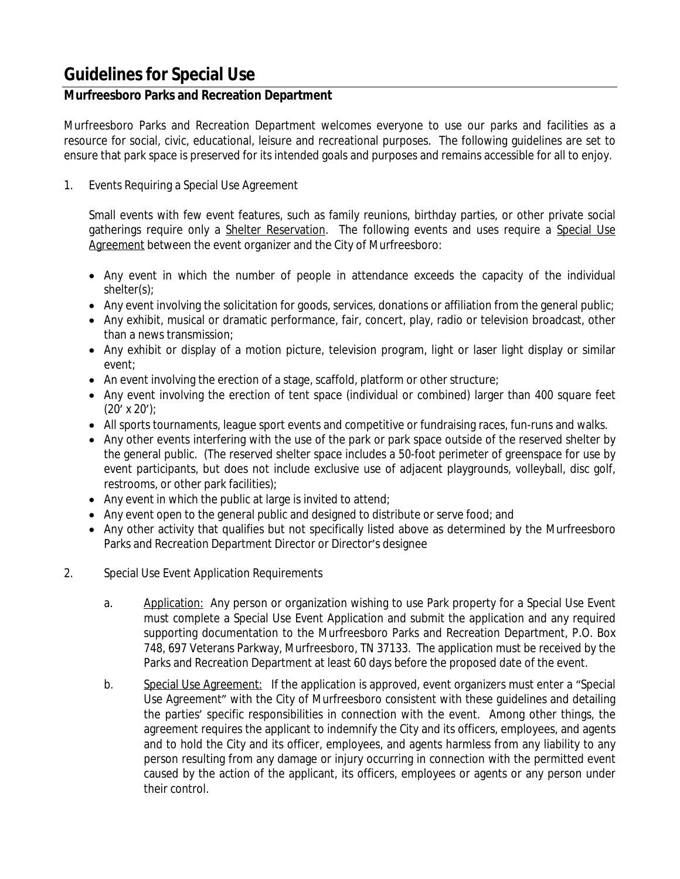# **Guidelines for Special Use**

### **Murfreesboro Parks and Recreation Department**

Murfreesboro Parks and Recreation Department welcomes everyone to use our parks and facilities as a resource for social, civic, educational, leisure and recreational purposes. The following guidelines are set to ensure that park space is preserved for its intended goals and purposes and remains accessible for all to enjoy.

1. Events Requiring a Special Use Agreement

Small events with few event features, such as family reunions, birthday parties, or other private social gatherings require only a Shelter Reservation. The following events and uses require a Special Use Agreement between the event organizer and the City of Murfreesboro:

- Any event in which the number of people in attendance exceeds the capacity of the individual shelter(s);
- Any event involving the solicitation for goods, services, donations or affiliation from the general public;
- Any exhibit, musical or dramatic performance, fair, concert, play, radio or television broadcast, other than a news transmission;
- Any exhibit or display of a motion picture, television program, light or laser light display or similar event;
- An event involving the erection of a stage, scaffold, platform or other structure;
- Any event involving the erection of tent space (individual or combined) larger than 400 square feet  $(20' \times 20')$ ;
- All sports tournaments, league sport events and competitive or fundraising races, fun-runs and walks.
- Any other events interfering with the use of the park or park space outside of the reserved shelter by the general public. (The reserved shelter space includes a 50-foot perimeter of greenspace for use by event participants, but does not include exclusive use of adjacent playgrounds, volleyball, disc golf, restrooms, or other park facilities);
- $\bullet$  Any event in which the public at large is invited to attend;
- Any event open to the general public and designed to distribute or serve food; and
- Any other activity that qualifies but not specifically listed above as determined by the Murfreesboro Parks and Recreation Department Director or Director's designee
- 2. Special Use Event Application Requirements
	- a. Application: Any person or organization wishing to use Park property for a Special Use Event must complete a Special Use Event Application and submit the application and any required supporting documentation to the Murfreesboro Parks and Recreation Department, P.O. Box 748, 697 Veterans Parkway, Murfreesboro, TN 37133. The application must be received by the Parks and Recreation Department at least 60 days before the proposed date of the event.
	- b. Special Use Agreement: If the application is approved, event organizers must enter a "Special Use Agreement" with the City of Murfreesboro consistent with these guidelines and detailing the parties' specific responsibilities in connection with the event. Among other things, the agreement requires the applicant to indemnify the City and its officers, employees, and agents and to hold the City and its officer, employees, and agents harmless from any liability to any person resulting from any damage or injury occurring in connection with the permitted event caused by the action of the applicant, its officers, employees or agents or any person under their control.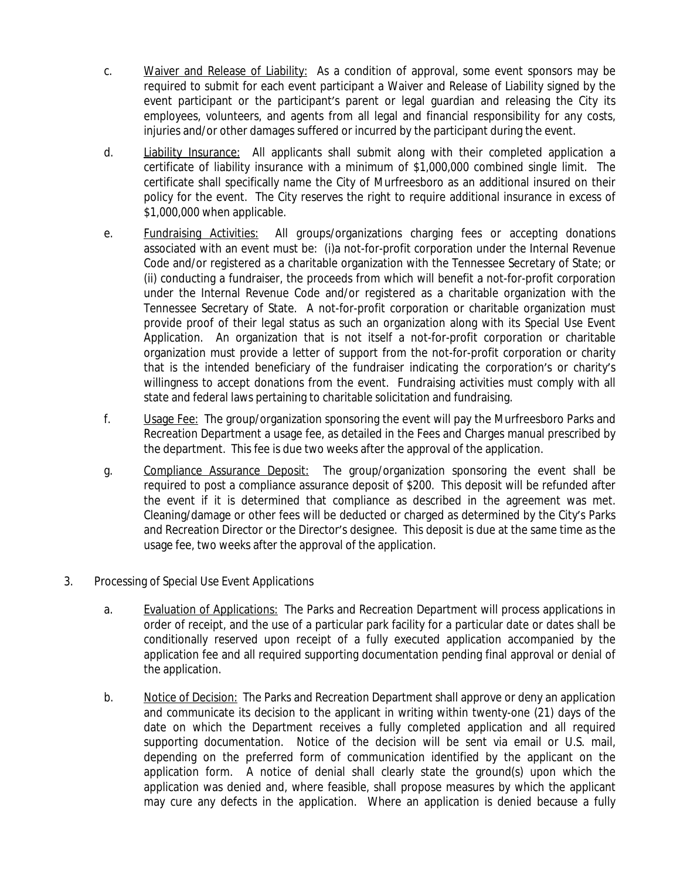- c. Waiver and Release of Liability: As a condition of approval, some event sponsors may be required to submit for each event participant a Waiver and Release of Liability signed by the event participant or the participant's parent or legal guardian and releasing the City its employees, volunteers, and agents from all legal and financial responsibility for any costs, injuries and/or other damages suffered or incurred by the participant during the event.
- d. Liability Insurance: All applicants shall submit along with their completed application a certificate of liability insurance with a minimum of \$1,000,000 combined single limit. The certificate shall specifically name the City of Murfreesboro as an additional insured on their policy for the event. The City reserves the right to require additional insurance in excess of \$1,000,000 when applicable.
- e. Fundraising Activities: All groups/organizations charging fees or accepting donations associated with an event must be: (i)a not-for-profit corporation under the Internal Revenue Code and/or registered as a charitable organization with the Tennessee Secretary of State; or (ii) conducting a fundraiser, the proceeds from which will benefit a not-for-profit corporation under the Internal Revenue Code and/or registered as a charitable organization with the Tennessee Secretary of State. A not-for-profit corporation or charitable organization must provide proof of their legal status as such an organization along with its Special Use Event Application. An organization that is not itself a not-for-profit corporation or charitable organization must provide a letter of support from the not-for-profit corporation or charity that is the intended beneficiary of the fundraiser indicating the corporation's or charity's willingness to accept donations from the event. Fundraising activities must comply with all state and federal laws pertaining to charitable solicitation and fundraising.
- f. Usage Fee: The group/organization sponsoring the event will pay the Murfreesboro Parks and Recreation Department a usage fee, as detailed in the Fees and Charges manual prescribed by the department. This fee is due two weeks after the approval of the application.
- g. Compliance Assurance Deposit: The group/organization sponsoring the event shall be required to post a compliance assurance deposit of \$200. This deposit will be refunded after the event if it is determined that compliance as described in the agreement was met. Cleaning/damage or other fees will be deducted or charged as determined by the City's Parks and Recreation Director or the Director's designee. This deposit is due at the same time as the usage fee, two weeks after the approval of the application.
- 3. Processing of Special Use Event Applications
	- a. Evaluation of Applications: The Parks and Recreation Department will process applications in order of receipt, and the use of a particular park facility for a particular date or dates shall be conditionally reserved upon receipt of a fully executed application accompanied by the application fee and all required supporting documentation pending final approval or denial of the application.
	- b. Notice of Decision: The Parks and Recreation Department shall approve or deny an application and communicate its decision to the applicant in writing within twenty-one (21) days of the date on which the Department receives a fully completed application and all required supporting documentation. Notice of the decision will be sent via email or U.S. mail, depending on the preferred form of communication identified by the applicant on the application form. A notice of denial shall clearly state the ground(s) upon which the application was denied and, where feasible, shall propose measures by which the applicant may cure any defects in the application. Where an application is denied because a fully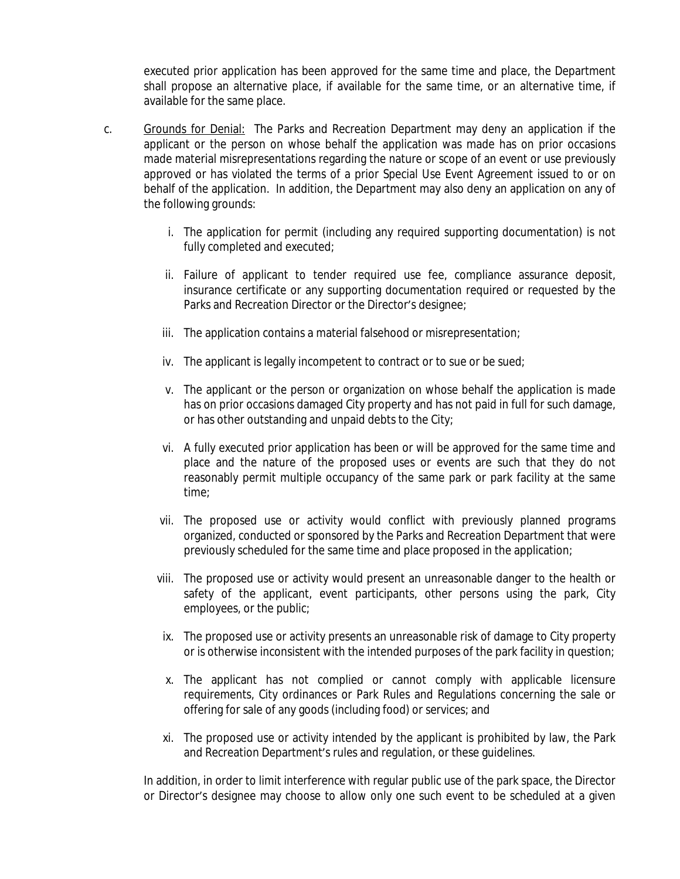executed prior application has been approved for the same time and place, the Department shall propose an alternative place, if available for the same time, or an alternative time, if available for the same place.

- c. Grounds for Denial: The Parks and Recreation Department may deny an application if the applicant or the person on whose behalf the application was made has on prior occasions made material misrepresentations regarding the nature or scope of an event or use previously approved or has violated the terms of a prior Special Use Event Agreement issued to or on behalf of the application. In addition, the Department may also deny an application on any of the following grounds:
	- i. The application for permit (including any required supporting documentation) is not fully completed and executed;
	- ii. Failure of applicant to tender required use fee, compliance assurance deposit, insurance certificate or any supporting documentation required or requested by the Parks and Recreation Director or the Director's designee;
	- iii. The application contains a material falsehood or misrepresentation;
	- iv. The applicant is legally incompetent to contract or to sue or be sued;
	- v. The applicant or the person or organization on whose behalf the application is made has on prior occasions damaged City property and has not paid in full for such damage, or has other outstanding and unpaid debts to the City;
	- vi. A fully executed prior application has been or will be approved for the same time and place and the nature of the proposed uses or events are such that they do not reasonably permit multiple occupancy of the same park or park facility at the same time;
	- vii. The proposed use or activity would conflict with previously planned programs organized, conducted or sponsored by the Parks and Recreation Department that were previously scheduled for the same time and place proposed in the application;
	- viii. The proposed use or activity would present an unreasonable danger to the health or safety of the applicant, event participants, other persons using the park, City employees, or the public;
	- ix. The proposed use or activity presents an unreasonable risk of damage to City property or is otherwise inconsistent with the intended purposes of the park facility in question;
	- x. The applicant has not complied or cannot comply with applicable licensure requirements, City ordinances or Park Rules and Regulations concerning the sale or offering for sale of any goods (including food) or services; and
	- xi. The proposed use or activity intended by the applicant is prohibited by law, the Park and Recreation Department's rules and regulation, or these guidelines.

In addition, in order to limit interference with regular public use of the park space, the Director or Director's designee may choose to allow only one such event to be scheduled at a given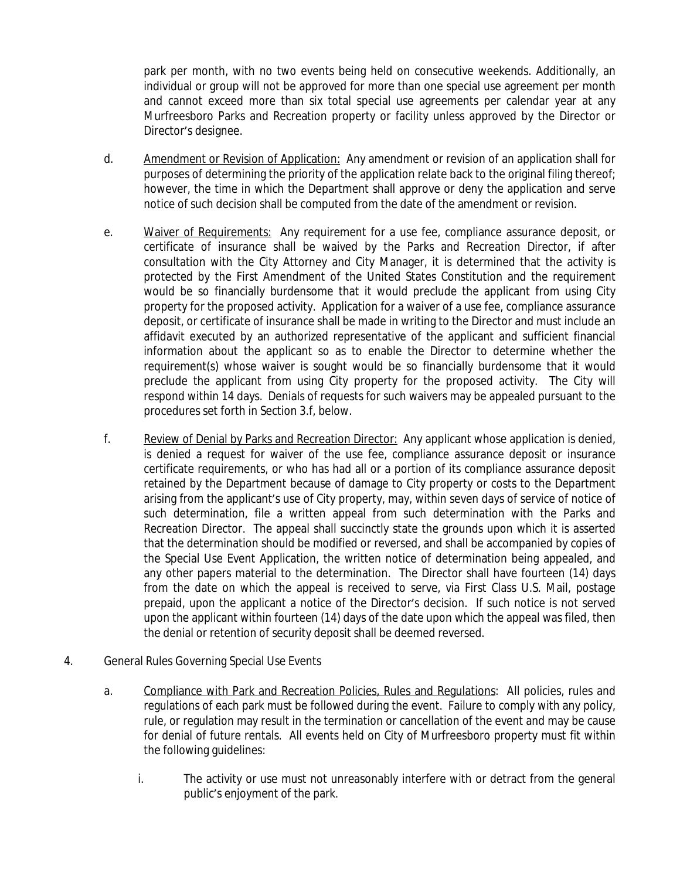park per month, with no two events being held on consecutive weekends. Additionally, an individual or group will not be approved for more than one special use agreement per month and cannot exceed more than six total special use agreements per calendar year at any Murfreesboro Parks and Recreation property or facility unless approved by the Director or Director's designee.

- d. Amendment or Revision of Application: Any amendment or revision of an application shall for purposes of determining the priority of the application relate back to the original filing thereof; however, the time in which the Department shall approve or deny the application and serve notice of such decision shall be computed from the date of the amendment or revision.
- e. Waiver of Requirements: Any requirement for a use fee, compliance assurance deposit, or certificate of insurance shall be waived by the Parks and Recreation Director, if after consultation with the City Attorney and City Manager, it is determined that the activity is protected by the First Amendment of the United States Constitution and the requirement would be so financially burdensome that it would preclude the applicant from using City property for the proposed activity. Application for a waiver of a use fee, compliance assurance deposit, or certificate of insurance shall be made in writing to the Director and must include an affidavit executed by an authorized representative of the applicant and sufficient financial information about the applicant so as to enable the Director to determine whether the requirement(s) whose waiver is sought would be so financially burdensome that it would preclude the applicant from using City property for the proposed activity. The City will respond within 14 days. Denials of requests for such waivers may be appealed pursuant to the procedures set forth in Section 3.f, below.
- f. Review of Denial by Parks and Recreation Director: Any applicant whose application is denied, is denied a request for waiver of the use fee, compliance assurance deposit or insurance certificate requirements, or who has had all or a portion of its compliance assurance deposit retained by the Department because of damage to City property or costs to the Department arising from the applicant's use of City property, may, within seven days of service of notice of such determination, file a written appeal from such determination with the Parks and Recreation Director. The appeal shall succinctly state the grounds upon which it is asserted that the determination should be modified or reversed, and shall be accompanied by copies of the Special Use Event Application, the written notice of determination being appealed, and any other papers material to the determination. The Director shall have fourteen (14) days from the date on which the appeal is received to serve, via First Class U.S. Mail, postage prepaid, upon the applicant a notice of the Director's decision. If such notice is not served upon the applicant within fourteen (14) days of the date upon which the appeal was filed, then the denial or retention of security deposit shall be deemed reversed.
- 4. General Rules Governing Special Use Events
	- a. Compliance with Park and Recreation Policies, Rules and Regulations: All policies, rules and regulations of each park must be followed during the event. Failure to comply with any policy, rule, or regulation may result in the termination or cancellation of the event and may be cause for denial of future rentals. All events held on City of Murfreesboro property must fit within the following guidelines:
		- i. The activity or use must not unreasonably interfere with or detract from the general public's enjoyment of the park.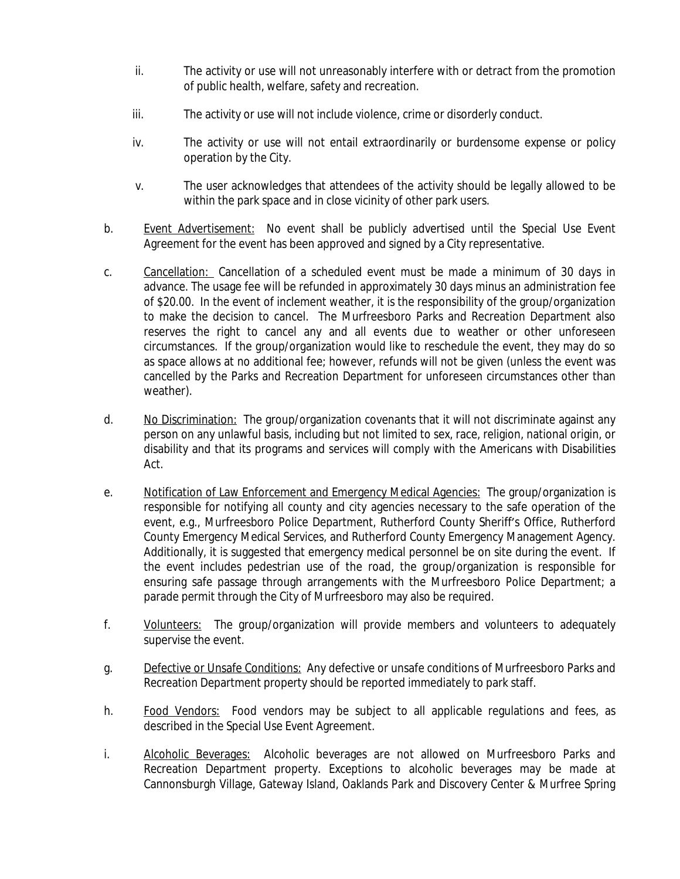- ii. The activity or use will not unreasonably interfere with or detract from the promotion of public health, welfare, safety and recreation.
- iii. The activity or use will not include violence, crime or disorderly conduct.
- iv. The activity or use will not entail extraordinarily or burdensome expense or policy operation by the City.
- v. The user acknowledges that attendees of the activity should be legally allowed to be within the park space and in close vicinity of other park users.
- b. Event Advertisement: No event shall be publicly advertised until the Special Use Event Agreement for the event has been approved and signed by a City representative.
- c. Cancellation: Cancellation of a scheduled event must be made a minimum of 30 days in advance. The usage fee will be refunded in approximately 30 days minus an administration fee of \$20.00. In the event of inclement weather, it is the responsibility of the group/organization to make the decision to cancel. The Murfreesboro Parks and Recreation Department also reserves the right to cancel any and all events due to weather or other unforeseen circumstances. If the group/organization would like to reschedule the event, they may do so as space allows at no additional fee; however, refunds will not be given (unless the event was cancelled by the Parks and Recreation Department for unforeseen circumstances other than weather).
- d. No Discrimination: The group/organization covenants that it will not discriminate against any person on any unlawful basis, including but not limited to sex, race, religion, national origin, or disability and that its programs and services will comply with the Americans with Disabilities Act.
- e. Notification of Law Enforcement and Emergency Medical Agencies: The group/organization is responsible for notifying all county and city agencies necessary to the safe operation of the event, e.g., Murfreesboro Police Department, Rutherford County Sheriff's Office, Rutherford County Emergency Medical Services, and Rutherford County Emergency Management Agency. Additionally, it is suggested that emergency medical personnel be on site during the event. If the event includes pedestrian use of the road, the group/organization is responsible for ensuring safe passage through arrangements with the Murfreesboro Police Department; a parade permit through the City of Murfreesboro may also be required.
- f. Volunteers: The group/organization will provide members and volunteers to adequately supervise the event.
- g. Defective or Unsafe Conditions: Any defective or unsafe conditions of Murfreesboro Parks and Recreation Department property should be reported immediately to park staff.
- h. Food Vendors: Food vendors may be subject to all applicable regulations and fees, as described in the Special Use Event Agreement.
- i. Alcoholic Beverages: Alcoholic beverages are not allowed on Murfreesboro Parks and Recreation Department property. Exceptions to alcoholic beverages may be made at Cannonsburgh Village, Gateway Island, Oaklands Park and Discovery Center & Murfree Spring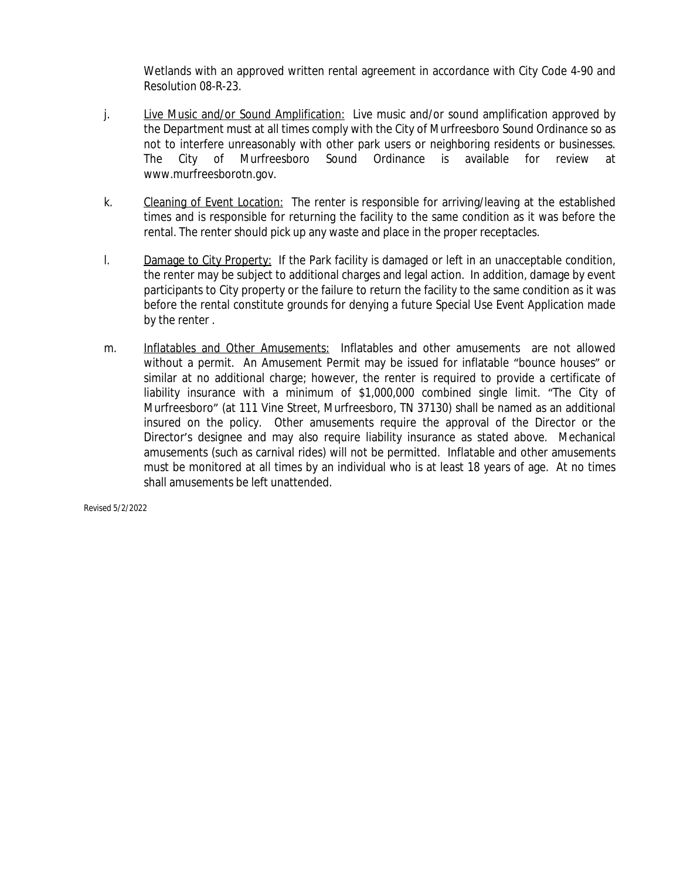Wetlands with an approved written rental agreement in accordance with City Code 4-90 and Resolution 08-R-23.

- j. Live Music and/or Sound Amplification: Live music and/or sound amplification approved by the Department must at all times comply with the City of Murfreesboro Sound Ordinance so as not to interfere unreasonably with other park users or neighboring residents or businesses. The City of Murfreesboro Sound Ordinance is available for review at www.murfreesborotn.gov.
- k. Cleaning of Event Location: The renter is responsible for arriving/leaving at the established times and is responsible for returning the facility to the same condition as it was before the rental. The renter should pick up any waste and place in the proper receptacles.
- l. Damage to City Property: If the Park facility is damaged or left in an unacceptable condition, the renter may be subject to additional charges and legal action. In addition, damage by event participants to City property or the failure to return the facility to the same condition as it was before the rental constitute grounds for denying a future Special Use Event Application made by the renter .
- m. Inflatables and Other Amusements: Inflatables and other amusements are not allowed without a permit. An Amusement Permit may be issued for inflatable "bounce houses" or similar at no additional charge; however, the renter is required to provide a certificate of liability insurance with a minimum of \$1,000,000 combined single limit. "The City of Murfreesboro" (at 111 Vine Street, Murfreesboro, TN 37130) shall be named as an additional insured on the policy. Other amusements require the approval of the Director or the Director's designee and may also require liability insurance as stated above. Mechanical amusements (such as carnival rides) will not be permitted. Inflatable and other amusements must be monitored at all times by an individual who is at least 18 years of age. At no times shall amusements be left unattended.

*Revised 5/2/2022*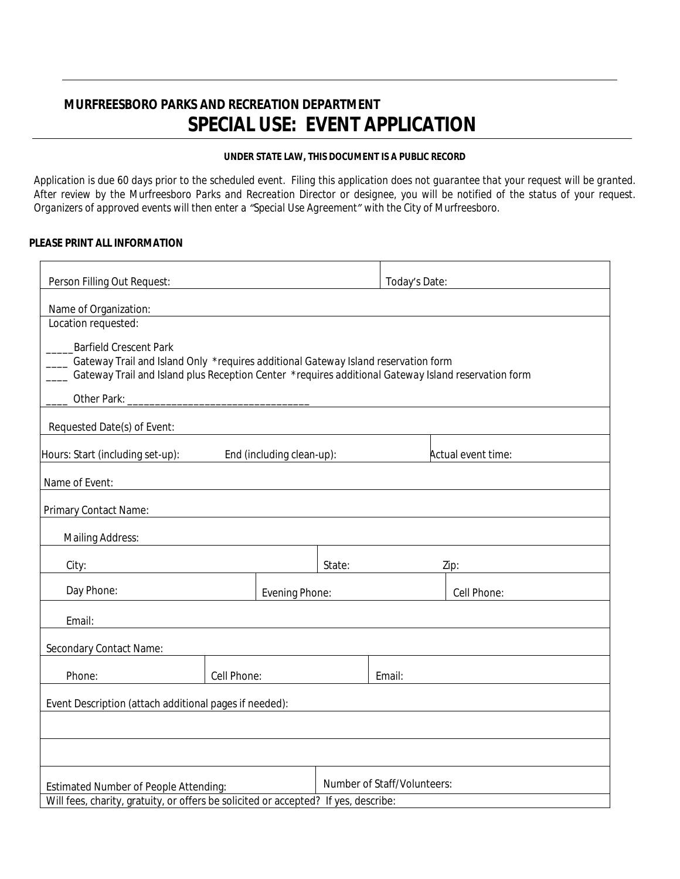## **MURFREESBORO PARKS AND RECREATION DEPARTMENT SPECIAL USE: EVENT APPLICATION**

### **UNDER STATE LAW, THIS DOCUMENT IS A PUBLIC RECORD**

Application is due 60 days prior to the scheduled event. Filing this application does not guarantee that your request will be granted. After review by the Murfreesboro Parks and Recreation Director or designee, you will be notified of the status of your request. *Organizers of approved events will then enter a "Special Use Agreement" with the City of Murfreesboro.*

#### **PLEASE PRINT ALL INFORMATION**

| Name of Organization:                                                              |                                                                                                                                                                                                                               |                |                           |                             |                                                                                                     |  |
|------------------------------------------------------------------------------------|-------------------------------------------------------------------------------------------------------------------------------------------------------------------------------------------------------------------------------|----------------|---------------------------|-----------------------------|-----------------------------------------------------------------------------------------------------|--|
| Location requested:                                                                |                                                                                                                                                                                                                               |                |                           |                             |                                                                                                     |  |
| <b>Barfield Crescent Park</b>                                                      |                                                                                                                                                                                                                               |                |                           |                             |                                                                                                     |  |
| Gateway Trail and Island Only *requires additional Gateway Island reservation form |                                                                                                                                                                                                                               |                |                           |                             | Gateway Trail and Island plus Reception Center *requires additional Gateway Island reservation form |  |
|                                                                                    |                                                                                                                                                                                                                               |                |                           |                             |                                                                                                     |  |
|                                                                                    |                                                                                                                                                                                                                               |                |                           |                             |                                                                                                     |  |
| Requested Date(s) of Event:                                                        |                                                                                                                                                                                                                               |                |                           |                             |                                                                                                     |  |
|                                                                                    |                                                                                                                                                                                                                               |                |                           |                             |                                                                                                     |  |
| Hours: Start (including set-up):                                                   |                                                                                                                                                                                                                               |                | End (including clean-up): |                             | Actual event time:                                                                                  |  |
| Name of Event:                                                                     |                                                                                                                                                                                                                               |                |                           |                             |                                                                                                     |  |
|                                                                                    |                                                                                                                                                                                                                               |                |                           |                             |                                                                                                     |  |
| Primary Contact Name:                                                              |                                                                                                                                                                                                                               |                |                           |                             |                                                                                                     |  |
| <b>Mailing Address:</b>                                                            |                                                                                                                                                                                                                               |                |                           |                             |                                                                                                     |  |
|                                                                                    | the control of the control of the control of the control of the control of the control of the control of the control of the control of the control of the control of the control of the control of the control of the control |                |                           |                             |                                                                                                     |  |
| City:                                                                              | <u> 1989 - Johann Harry Harry Harry Harry Harry Harry Harry Harry Harry Harry Harry Harry Harry Harry Harry Harry</u>                                                                                                         |                | State:                    |                             | Zip:                                                                                                |  |
| Day Phone:                                                                         |                                                                                                                                                                                                                               | Evening Phone: |                           |                             | Cell Phone:                                                                                         |  |
|                                                                                    |                                                                                                                                                                                                                               |                |                           |                             |                                                                                                     |  |
| Email:                                                                             |                                                                                                                                                                                                                               |                |                           |                             |                                                                                                     |  |
| Secondary Contact Name:                                                            |                                                                                                                                                                                                                               |                |                           |                             |                                                                                                     |  |
| Phone:                                                                             |                                                                                                                                                                                                                               | Cell Phone:    |                           | Email:                      |                                                                                                     |  |
| Event Description (attach additional pages if needed):                             |                                                                                                                                                                                                                               |                |                           |                             |                                                                                                     |  |
|                                                                                    |                                                                                                                                                                                                                               |                |                           |                             |                                                                                                     |  |
|                                                                                    |                                                                                                                                                                                                                               |                |                           |                             |                                                                                                     |  |
|                                                                                    |                                                                                                                                                                                                                               |                |                           |                             |                                                                                                     |  |
| Estimated Number of People Attending:                                              |                                                                                                                                                                                                                               |                |                           | Number of Staff/Volunteers: |                                                                                                     |  |
|                                                                                    |                                                                                                                                                                                                                               |                |                           |                             |                                                                                                     |  |